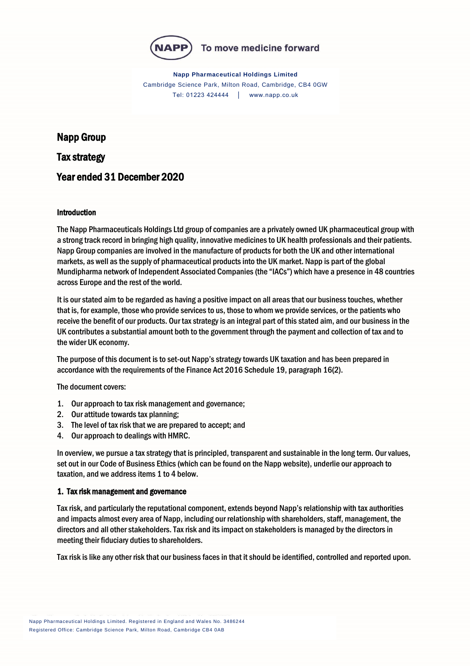

**Napp Pharmaceutical Holdings Limited** Cambridge Science Park, Milton Road, Cambridge, CB4 0GW Tel: 01223 424444 │ www.napp.co.uk

# Napp Group

Tax strategy

# Year ended 31 December 2020

#### Introduction

The Napp Pharmaceuticals Holdings Ltd group of companies are a privately owned UK pharmaceutical group with a strong track record in bringing high quality, innovative medicines to UK health professionals and their patients. Napp Group companies are involved in the manufacture of products for both the UK and other international markets, as well as the supply of pharmaceutical products into the UK market. Napp is part of the global Mundipharma network of Independent Associated Companies (the "IACs") which have a presence in 48 countries across Europe and the rest of the world.

It is our stated aim to be regarded as having a positive impact on all areas that our business touches, whether that is, for example, those who provide services to us, those to whom we provide services, or the patients who receive the benefit of our products. Our tax strategy is an integral part of this stated aim, and our business in the UK contributes a substantial amount both to the government through the payment and collection of tax and to the wider UK economy.

The purpose of this document is to set-out Napp's strategy towards UK taxation and has been prepared in accordance with the requirements of the Finance Act 2016 Schedule 19, paragraph 16(2).

The document covers:

- 1. Our approach to tax risk management and governance;
- 2. Our attitude towards tax planning;
- 3. The level of tax risk that we are prepared to accept; and
- 4. Our approach to dealings with HMRC.

In overview, we pursue a tax strategy that is principled, transparent and sustainable in the long term. Our values, set out in our Code of Business Ethics (which can be found on the Napp website), underlie our approach to taxation, and we address items 1 to 4 below.

#### 1. Tax risk management and governance

Tax risk, and particularly the reputational component, extends beyond Napp's relationship with tax authorities and impacts almost every area of Napp, including our relationship with shareholders, staff, management, the directors and all other stakeholders. Tax risk and its impact on stakeholders is managed by the directors in meeting their fiduciary duties to shareholders.

Tax risk is like any other risk that our business faces in that it should be identified, controlled and reported upon.